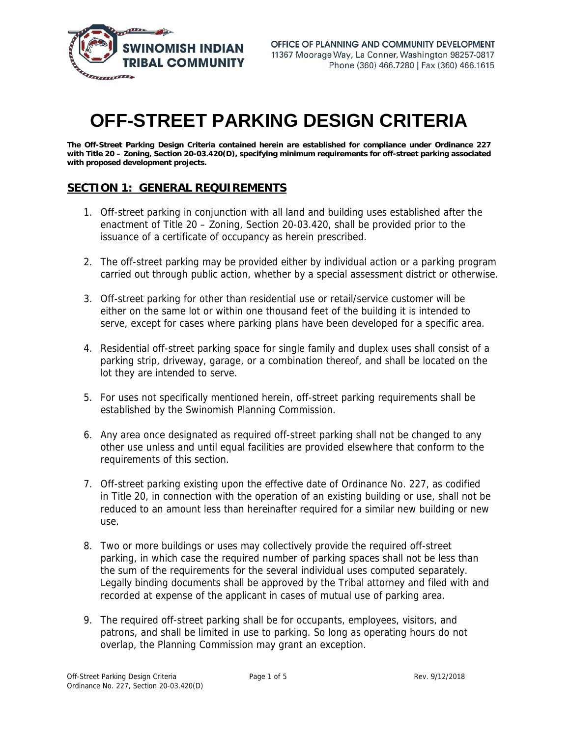

# **OFF-STREET PARKING DESIGN CRITERIA**

**The Off-Street Parking Design Criteria contained herein are established for compliance under Ordinance 227 with Title 20 – Zoning, Section 20-03.420(D), specifying minimum requirements for off-street parking associated with proposed development projects.** 

## **SECTION 1: GENERAL REQUIREMENTS**

- 1. Off-street parking in conjunction with all land and building uses established after the enactment of Title 20 – Zoning, Section 20-03.420, shall be provided prior to the issuance of a certificate of occupancy as herein prescribed.
- 2. The off-street parking may be provided either by individual action or a parking program carried out through public action, whether by a special assessment district or otherwise.
- 3. Off-street parking for other than residential use or retail/service customer will be either on the same lot or within one thousand feet of the building it is intended to serve, except for cases where parking plans have been developed for a specific area.
- 4. Residential off-street parking space for single family and duplex uses shall consist of a parking strip, driveway, garage, or a combination thereof, and shall be located on the lot they are intended to serve.
- 5. For uses not specifically mentioned herein, off-street parking requirements shall be established by the Swinomish Planning Commission.
- 6. Any area once designated as required off-street parking shall not be changed to any other use unless and until equal facilities are provided elsewhere that conform to the requirements of this section.
- 7. Off-street parking existing upon the effective date of Ordinance No. 227, as codified in Title 20, in connection with the operation of an existing building or use, shall not be reduced to an amount less than hereinafter required for a similar new building or new use.
- 8. Two or more buildings or uses may collectively provide the required off-street parking, in which case the required number of parking spaces shall not be less than the sum of the requirements for the several individual uses computed separately. Legally binding documents shall be approved by the Tribal attorney and filed with and recorded at expense of the applicant in cases of mutual use of parking area.
- 9. The required off-street parking shall be for occupants, employees, visitors, and patrons, and shall be limited in use to parking. So long as operating hours do not overlap, the Planning Commission may grant an exception.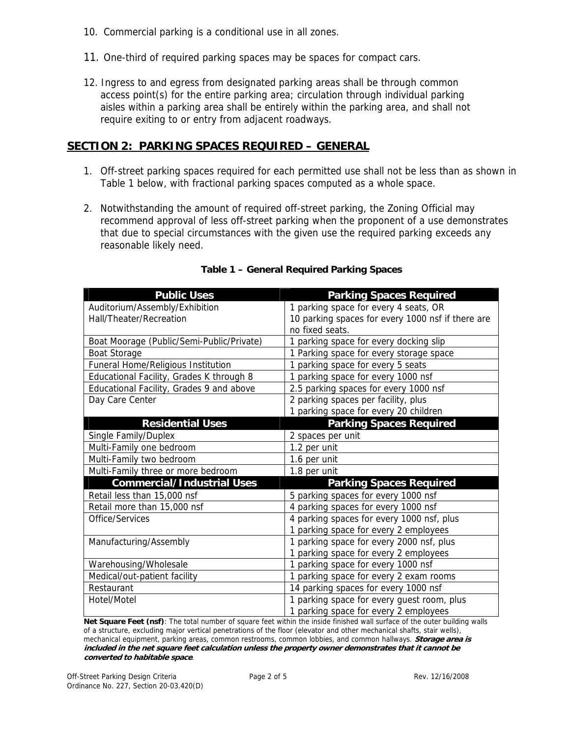- 10. Commercial parking is a conditional use in all zones.
- 11. One-third of required parking spaces may be spaces for compact cars.
- 12. Ingress to and egress from designated parking areas shall be through common access point(s) for the entire parking area; circulation through individual parking aisles within a parking area shall be entirely within the parking area, and shall not require exiting to or entry from adjacent roadways.

## **SECTION 2: PARKING SPACES REQUIRED – GENERAL**

- 1. Off-street parking spaces required for each permitted use shall not be less than as shown in Table 1 below, with fractional parking spaces computed as a whole space.
- 2. Notwithstanding the amount of required off-street parking, the Zoning Official may recommend approval of less off-street parking when the proponent of a use demonstrates that due to special circumstances with the given use the required parking exceeds any reasonable likely need.

| <b>Public Uses</b>                        | <b>Parking Spaces Required</b>                    |
|-------------------------------------------|---------------------------------------------------|
| Auditorium/Assembly/Exhibition            | 1 parking space for every 4 seats, OR             |
| Hall/Theater/Recreation                   | 10 parking spaces for every 1000 nsf if there are |
|                                           | no fixed seats.                                   |
| Boat Moorage (Public/Semi-Public/Private) | parking space for every docking slip<br>1         |
| <b>Boat Storage</b>                       | 1 Parking space for every storage space           |
| Funeral Home/Religious Institution        | 1 parking space for every 5 seats                 |
| Educational Facility, Grades K through 8  | 1 parking space for every 1000 nsf                |
| Educational Facility, Grades 9 and above  | 2.5 parking spaces for every 1000 nsf             |
| Day Care Center                           | 2 parking spaces per facility, plus               |
|                                           | 1 parking space for every 20 children             |
| <b>Residential Uses</b>                   | <b>Parking Spaces Required</b>                    |
| Single Family/Duplex                      | 2 spaces per unit                                 |
| Multi-Family one bedroom                  | 1.2 per unit                                      |
| Multi-Family two bedroom                  | 1.6 per unit                                      |
| Multi-Family three or more bedroom        | 1.8 per unit                                      |
| <b>Commercial/Industrial Uses</b>         | <b>Parking Spaces Required</b>                    |
| Retail less than 15,000 nsf               | 5 parking spaces for every 1000 nsf               |
| Retail more than 15,000 nsf               | 4 parking spaces for every 1000 nsf               |
| Office/Services                           | 4 parking spaces for every 1000 nsf, plus         |
|                                           | 1 parking space for every 2 employees             |
| Manufacturing/Assembly                    | 1 parking space for every 2000 nsf, plus          |
|                                           | 1 parking space for every 2 employees             |
| Warehousing/Wholesale                     | 1 parking space for every 1000 nsf                |
| Medical/out-patient facility              | 1 parking space for every 2 exam rooms            |
| Restaurant                                | 14 parking spaces for every 1000 nsf              |
| Hotel/Motel                               | 1 parking space for every guest room, plus        |
|                                           | 1 parking space for every 2 employees             |

#### **Table 1 – General Required Parking Spaces**

**Net Square Feet (nsf)**: The total number of square feet within the inside finished wall surface of the outer building walls of a structure, excluding major vertical penetrations of the floor (elevator and other mechanical shafts, stair wells), mechanical equipment, parking areas, common restrooms, common lobbies, and common hallways. **Storage area is included in the net square feet calculation unless the property owner demonstrates that it cannot be converted to habitable space**.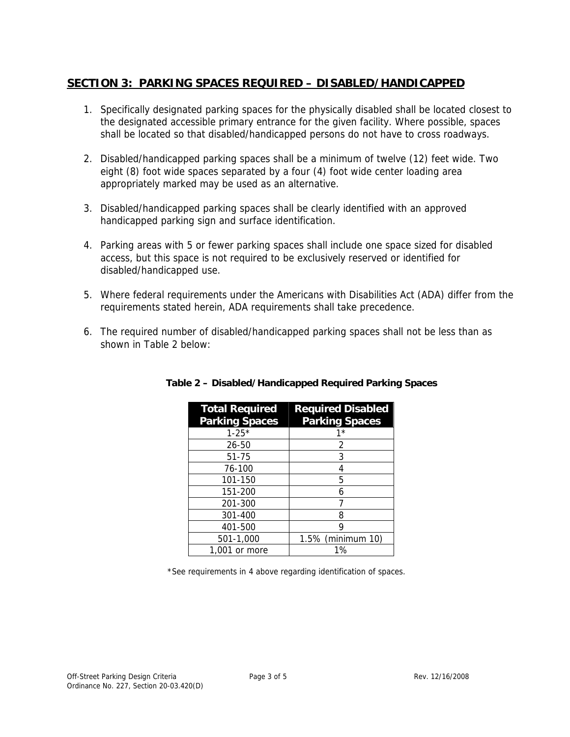## **SECTION 3: PARKING SPACES REQUIRED – DISABLED/HANDICAPPED**

- 1. Specifically designated parking spaces for the physically disabled shall be located closest to the designated accessible primary entrance for the given facility. Where possible, spaces shall be located so that disabled/handicapped persons do not have to cross roadways.
- 2. Disabled/handicapped parking spaces shall be a minimum of twelve (12) feet wide. Two eight (8) foot wide spaces separated by a four (4) foot wide center loading area appropriately marked may be used as an alternative.
- 3. Disabled/handicapped parking spaces shall be clearly identified with an approved handicapped parking sign and surface identification.
- 4. Parking areas with 5 or fewer parking spaces shall include one space sized for disabled access, but this space is not required to be exclusively reserved or identified for disabled/handicapped use.
- 5. Where federal requirements under the Americans with Disabilities Act (ADA) differ from the requirements stated herein, ADA requirements shall take precedence.
- 6. The required number of disabled/handicapped parking spaces shall not be less than as shown in Table 2 below:

| <b>Total Required</b><br><b>Parking Spaces</b> | <b>Required Disabled</b><br><b>Parking Spaces</b> |
|------------------------------------------------|---------------------------------------------------|
| $1 - 25*$                                      | 1*                                                |
| 26-50                                          | 2                                                 |
| $51 - 75$                                      | 3                                                 |
| 76-100                                         | 4                                                 |
| 101-150                                        | 5                                                 |
| 151-200                                        | 6                                                 |
| 201-300                                        |                                                   |
| 301-400                                        | 8                                                 |
| 401-500                                        | q                                                 |
| 501-1,000                                      | 1.5% (minimum 10)                                 |
| 1,001 or more                                  | $1\%$                                             |

#### **Table 2 – Disabled/Handicapped Required Parking Spaces**

\*See requirements in 4 above regarding identification of spaces.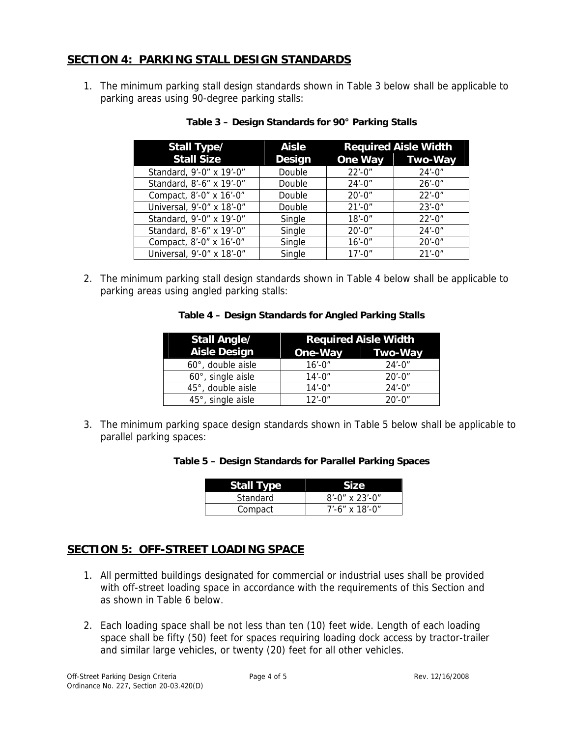## **SECTION 4: PARKING STALL DESIGN STANDARDS**

1. The minimum parking stall design standards shown in Table 3 below shall be applicable to parking areas using 90-degree parking stalls:

| Stall Type/               | <b>Aisle</b>  |             | <b>Required Aisle Width</b> |
|---------------------------|---------------|-------------|-----------------------------|
| <b>Stall Size</b>         | <b>Design</b> |             | One Way Two-Way             |
| Standard, 9'-0" x 19'-0"  | Double        | $22' - 0''$ | $24' - 0''$                 |
| Standard, 8'-6" x 19'-0"  | Double        | $24' - 0''$ | $26' - 0''$                 |
| Compact, 8'-0" x 16'-0"   | Double        | $20' - 0''$ | $22' - 0''$                 |
| Universal, 9'-0" x 18'-0" | Double        | $21' - 0''$ | $23' - 0''$                 |
| Standard, 9'-0" x 19'-0"  | Single        | $18' - 0''$ | $22' - 0''$                 |
| Standard, 8'-6" x 19'-0"  | Single        | $20' - 0''$ | $24' - 0''$                 |
| Compact, 8'-0" x 16'-0"   | Single        | $16' - 0''$ | $20' - 0''$                 |
| Universal, 9'-0" x 18'-0" | Single        | $17' - 0''$ | $21' - 0''$                 |

#### **Table 3 – Design Standards for 90° Parking Stalls**

2. The minimum parking stall design standards shown in Table 4 below shall be applicable to parking areas using angled parking stalls:

#### **Table 4 – Design Standards for Angled Parking Stalls**

| <b>Stall Angle/</b> | <b>Required Aisle Width</b> |                                         |
|---------------------|-----------------------------|-----------------------------------------|
| <b>Aisle Design</b> | One-Way                     | <b>Two-Way</b><br><u>ta a shekara t</u> |
| 60°, double aisle   | $16' - 0''$                 | $24' - 0''$                             |
| 60°, single aisle   | $14' - 0''$                 | $20' - 0''$                             |
| 45°, double aisle   | $14' - 0''$                 | $24' - 0''$                             |
| 45°, single aisle   | $12' - 0''$                 | $20' - 0''$                             |

3. The minimum parking space design standards shown in Table 5 below shall be applicable to parallel parking spaces:

#### **Table 5 – Design Standards for Parallel Parking Spaces**

| <b>Stall Type</b> | Size              |
|-------------------|-------------------|
| Standard          | $8'$ -0" x 23'-0" |
| Compact           | $7'$ -6" x 18'-0" |

## **SECTION 5: OFF-STREET LOADING SPACE**

- 1. All permitted buildings designated for commercial or industrial uses shall be provided with off-street loading space in accordance with the requirements of this Section and as shown in Table 6 below.
- 2. Each loading space shall be not less than ten (10) feet wide. Length of each loading space shall be fifty (50) feet for spaces requiring loading dock access by tractor-trailer and similar large vehicles, or twenty (20) feet for all other vehicles.